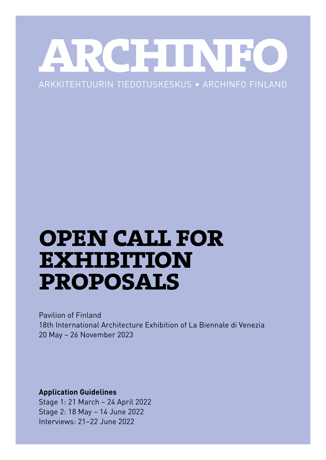## KCHE TTN ARKKITEHTUURIN TIEDOTUSKESKUS • ARCHINFO FINLAND

# **open call for exhibition proposals**

Pavilion of Finland 18th International Architecture Exhibition of La Biennale di Venezia 20 May – 26 November 2023

**Application Guidelines**

Stage 1: 21 March – 24 April 2022 Stage 2: 18 May – 14 June 2022 Interviews: 21–22 June 2022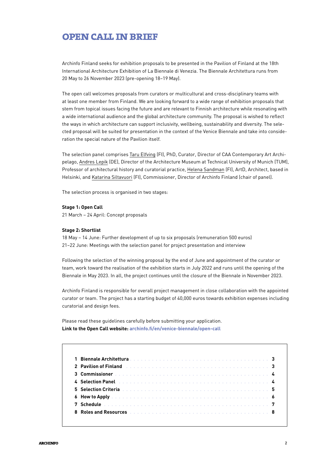## **open call in brief**

Archinfo Finland seeks for exhibition proposals to be presented in the Pavilion of Finland at the 18th International Architecture Exhibition of La Biennale di Venezia. The Biennale Architettura runs from 20 May to 26 November 2023 (pre-opening 18–19 May).

The open call welcomes proposals from curators or multicultural and cross-disciplinary teams with at least one member from Finland. We are looking forward to a wide range of exhibition proposals that stem from topical issues facing the future and are relevant to Finnish architecture while resonating with a wide international audience and the global architecture community. The proposal is wished to reflect the ways in which architecture can support inclusivity, wellbeing, sustainability and diversity. The selected proposal will be suited for presentation in the context of the Venice Biennale and take into consideration the special nature of the Pavilion itself.

The selection panel comprises Taru Elfving (FI), PhD, Curator, Director of CAA Contemporary Art Archipelago, Andres Lepik (DE), Director of the Architecture Museum at Technical University of Munich (TUM), Professor of architectural history and curatorial practice, Helena Sandman (FI), ArtD, Architect, based in Helsinki, and Katarina Siltavuori (FI), Commissioner, Director of Archinfo Finland (chair of panel).

The selection process is organised in two stages:

#### **Stage 1: Open Call**

21 March – 24 April: Concept proposals

#### **Stage 2: Shortlist**

18 May – 14 June: Further development of up to six proposals (remuneration 500 euros) 21–22 June: Meetings with the selection panel for project presentation and interview

Following the selection of the winning proposal by the end of June and appointment of the curator or team, work toward the realisation of the exhibition starts in July 2022 and runs until the opening of the Biennale in May 2023. In all, the project continues until the closure of the Biennale in November 2023.

Archinfo Finland is responsible for overall project management in close collaboration with the appointed curator or team. The project has a starting budget of 40,000 euros towards exhibition expenses including curatorial and design fees.

Please read these guidelines carefully before submitting your application. **Link to the Open Call website: [archinfo.fi/en/venice-biennale/open-call](http://archinfo.fi/en/venice-biennale/open-call)**

| 2 Pavilion of Finland <b>Experience Active Contract Contract Contract Contract Contract Contract Contract Contract Contract Contract Contract Contract Contract Contract Contract Contract Contract Contract Contract Contract C</b> |  |  |  |  |  |  |  |  |  |  |  |  |  |
|--------------------------------------------------------------------------------------------------------------------------------------------------------------------------------------------------------------------------------------|--|--|--|--|--|--|--|--|--|--|--|--|--|
|                                                                                                                                                                                                                                      |  |  |  |  |  |  |  |  |  |  |  |  |  |
|                                                                                                                                                                                                                                      |  |  |  |  |  |  |  |  |  |  |  |  |  |
|                                                                                                                                                                                                                                      |  |  |  |  |  |  |  |  |  |  |  |  |  |
|                                                                                                                                                                                                                                      |  |  |  |  |  |  |  |  |  |  |  |  |  |
|                                                                                                                                                                                                                                      |  |  |  |  |  |  |  |  |  |  |  |  |  |
| 8 Roles and Resources <b>And American</b> Business Contract Contract and Resources Contract Business Contract Business                                                                                                               |  |  |  |  |  |  |  |  |  |  |  |  |  |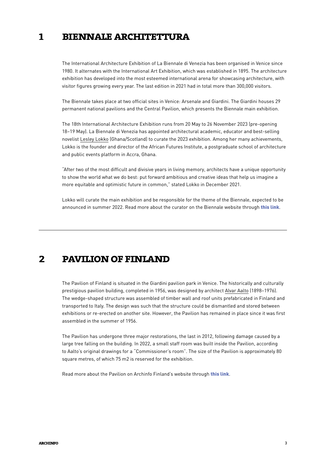#### **biennale architettura 1**

The International Architecture Exhibition of La Biennale di Venezia has been organised in Venice since 1980. It alternates with the International Art Exhibition, which was established in 1895. The architecture exhibition has developed into the most esteemed international arena for showcasing architecture, with visitor figures growing every year. The last edition in 2021 had in total more than 300,000 visitors.

The Biennale takes place at two official sites in Venice: Arsenale and Giardini. The Giardini houses 29 permanent national pavilions and the Central Pavilion, which presents the Biennale main exhibition.

The 18th International Architecture Exhibition runs from 20 May to 26 November 2023 (pre-opening 18–19 May). La Biennale di Venezia has appointed architectural academic, educator and best-selling novelist Lesley Lokko (Ghana/Scotland) to curate the 2023 exhibition. Among her many achievements, Lokko is the founder and director of the African Futures Institute, a postgraduate school of architecture and public events platform in Accra, Ghana.

"After two of the most difficult and divisive years in living memory, architects have a unique opportunity to show the world what we do best: put forward ambitious and creative ideas that help us imagine a more equitable and optimistic future in common," stated Lokko in December 2021.

Lokko will curate the main exhibition and be responsible for the theme of the Biennale, expected to be announced in summer 2022. Read more about the curator on the Biennale website through [this link](https://www.labiennale.org/en/news/lesley-lokko-appointed-curator-biennale-architettura-2023).

## **2 pavilion of finland**

The Pavilion of Finland is situated in the Giardini pavilion park in Venice. The historically and culturally prestigious pavilion building, completed in 1956, was designed by architect Alvar Aalto (1898–1976). The wedge-shaped structure was assembled of timber wall and roof units prefabricated in Finland and transported to Italy. The design was such that the structure could be dismantled and stored between exhibitions or re-erected on another site. However, the Pavilion has remained in place since it was first assembled in the summer of 1956.

The Pavilion has undergone three major restorations, the last in 2012, following damage caused by a large tree falling on the building. In 2022, a small staff room was built inside the Pavilion, according to Aalto's original drawings for a "Commissioner's room". The size of the Pavilion is approximately 80 square metres, of which 75 m2 is reserved for the exhibition.

Read more about the Pavilion on Archinfo Finland's website through [this link](https://archinfo.fi/en/2016/05/celebrating-the-60th-anniversary-of-the-finnish-pavilion-in-venice/).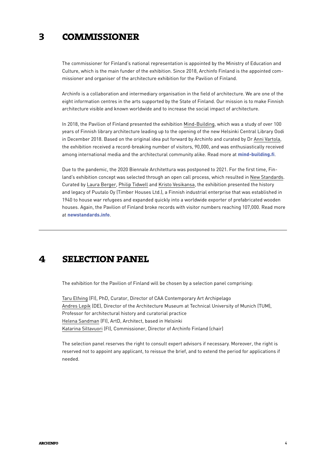#### **commissioner 3**

The commissioner for Finland's national representation is appointed by the Ministry of Education and Culture, which is the main funder of the exhibition. Since 2018, Archinfo Finland is the appointed commissioner and organiser of the architecture exhibition for the Pavilion of Finland.

Archinfo is a collaboration and intermediary organisation in the field of architecture. We are one of the eight information centres in the arts supported by the State of Finland. Our mission is to make Finnish architecture visible and known worldwide and to increase the social impact of architecture.

In 2018, the Pavilion of Finland presented the exhibition Mind-Building, which was a study of over 100 years of Finnish library architecture leading up to the opening of the new Helsinki Central Library Oodi in December 2018. Based on the original idea put forward by Archinfo and curated by Dr Anni Vartola, the exhibition received a record-breaking number of visitors, 90,000, and was enthusiastically received among international media and the architectural community alike. Read more at [mind-building.fi](http://archinfo.fi/en/venice-biennale/mind-building/).

Due to the pandemic, the 2020 Biennale Architettura was postponed to 2021. For the first time, Finland's exhibition concept was selected through an open call process, which resulted in New Standards. Curated by Laura Berger, Philip Tidwell and Kristo Vesikansa, the exhibition presented the history and legacy of Puutalo Oy (Timber Houses Ltd.), a Finnish industrial enterprise that was established in 1940 to house war refugees and expanded quickly into a worldwide exporter of prefabricated wooden houses. Again, the Pavilion of Finland broke records with visitor numbers reaching 107,000. Read more at [newstandards.info](https://newstandards.info/).

## **4 selection panel**

The exhibition for the Pavilion of Finland will be chosen by a selection panel comprising:

Taru Elfving (FI), PhD, Curator, Director of CAA Contemporary Art Archipelago Andres Lepik (DE), Director of the Architecture Museum at Technical University of Munich (TUM), Professor for architectural history and curatorial practice Helena Sandman (FI), ArtD, Architect, based in Helsinki Katarina Siltavuori (FI), Commissioner, Director of Archinfo Finland (chair)

The selection panel reserves the right to consult expert advisors if necessary. Moreover, the right is reserved not to appoint any applicant, to reissue the brief, and to extend the period for applications if needed.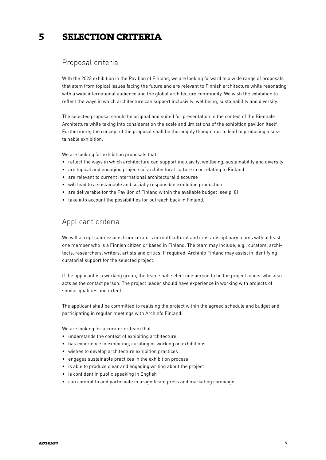#### **selection criteria 5**

## Proposal criteria

With the 2023 exhibition in the Pavilion of Finland, we are looking forward to a wide range of proposals that stem from topical issues facing the future and are relevant to Finnish architecture while resonating with a wide international audience and the global architecture community. We wish the exhibition to reflect the ways in which architecture can support inclusivity, wellbeing, sustainability and diversity.

The selected proposal should be original and suited for presentation in the context of the Biennale Architettura while taking into consideration the scale and limitations of the exhibition pavilion itself. Furthermore, the concept of the proposal shall be thoroughly thought out to lead to producing a sustainable exhibition.

We are looking for exhibition proposals that

- reflect the ways in which architecture can support inclusivity, wellbeing, sustainability and diversity
- are topical and engaging projects of architectural culture in or relating to Finland
- are relevant to current international architectural discourse
- will lead to a sustainable and socially responsible exhibition production
- are deliverable for the Pavilion of Finland within the available budget (see p. 8)
- take into account the possibilities for outreach back in Finland.

## Applicant criteria

We will accept submissions from curators or multicultural and cross-disciplinary teams with at least one member who is a Finnish citizen or based in Finland. The team may include, e.g., curators, architects, researchers, writers, artists and critics. If required, Archinfo Finland may assist in identifying curatorial support for the selected project.

If the applicant is a working group, the team shall select one person to be the project leader who also acts as the contact person. The project leader should have experience in working with projects of similar qualities and extent.

The applicant shall be committed to realising the project within the agreed schedule and budget and participating in regular meetings with Archinfo Finland.

We are looking for a curator or team that

- understands the context of exhibiting architecture
- has experience in exhibiting, curating or working on exhibitions
- wishes to develop architecture exhibition practices
- engages sustainable practices in the exhibition process
- is able to produce clear and engaging writing about the project
- is confident in public speaking in English
- can commit to and participate in a significant press and marketing campaign.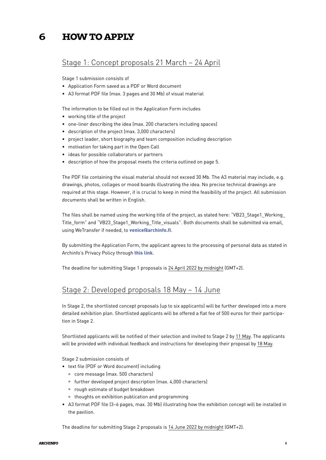#### **how to apply 6**

## Stage 1: Concept proposals 21 March – 24 April

Stage 1 submission consists of

- Application Form saved as a PDF or Word document
- A3 format PDF file (max. 3 pages and 30 Mb) of visual material

The information to be filled out in the Application Form includes

- working title of the project
- one-liner describing the idea (max. 200 characters including spaces)
- description of the project (max. 3,000 characters)
- project leader, short biography and team composition including description
- motivation for taking part in the Open Call
- ideas for possible collaborators or partners
- description of how the proposal meets the criteria outlined on page 5.

The PDF file containing the visual material should not exceed 30 Mb. The A3 material may include, e.g. drawings, photos, collages or mood boards illustrating the idea. No precise technical drawings are required at this stage. However, it is crucial to keep in mind the feasibility of the project. All submission documents shall be written in English.

The files shall be named using the working title of the project, as stated here: "VB23\_Stage1\_Working\_ Title\_form" and "VB23\_Stage1\_Working\_Title\_visuals". Both documents shall be submitted via email, using WeTransfer if needed, to venice archinfo.fi.

By submitting the Application Form, the applicant agrees to the processing of personal data as stated in Archinfo's Privacy Policy through [this link](https://archinfo.fi/en/data-protection/privacy-policy/).

The deadline for submitting Stage 1 proposals is 24 April 2022 by midnight (GMT+2).

### Stage 2: Developed proposals 18 May – 14 June

In Stage 2, the shortlisted concept proposals (up to six applicants) will be further developed into a more detailed exhibition plan. Shortlisted applicants will be offered a flat fee of 500 euros for their participation in Stage 2.

Shortlisted applicants will be notified of their selection and invited to Stage 2 by 11 May. The applicants will be provided with individual feedback and instructions for developing their proposal by 18 May.

Stage 2 submission consists of

- text file (PDF or Word document) including
	- ° core message (max. 500 characters)
	- ° further developed project description (max. 4,000 characters)
	- ° rough estimate of budget breakdown
	- ° thoughts on exhibition publication and programming
- A3 format PDF file (3–6 pages, max. 30 Mb) illustrating how the exhibition concept will be installed in the pavilion.

The deadline for submitting Stage 2 proposals is 14 June 2022 by midnight (GMT+2).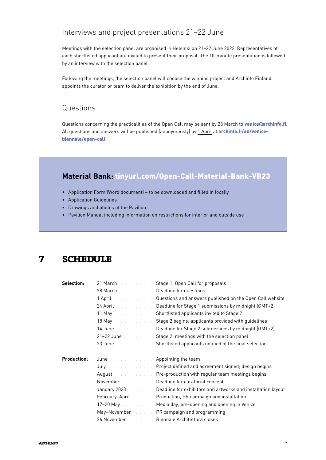## Interviews and project presentations 21–22 June

Meetings with the selection panel are organised in Helsinki on 21–22 June 2022. Representatives of each shortlisted applicant are invited to present their proposal. The 10-minute presentation is followed by an interview with the selection panel.

Following the meetings, the selection panel will choose the winning project and Archinfo Finland appoints the curator or team to deliver the exhibition by the end of June.

## Questions

Questions concerning the practicalities of the Open Call may be sent by 28 March to venice Carchinfo.fi. All questions and answers will be published (anonymously) by 1 April at [archinfo.fi/en/venice](http://archinfo.fi/en/venice-biennale/open-call)[biennale/open-call](http://archinfo.fi/en/venice-biennale/open-call).

## **Material Bank:** [tinyurl.com/Open-Call-Material-Bank-VB23](https://drive.google.com/drive/folders/1dN3expQIGyWo53km3voQFm5JafB-u3_N)

- Application Form (Word document) to be downloaded and filled in locally
- Application Guidelines
- Drawings and photos of the Pavilion
- Pavilion Manual including information on restrictions for interior and outside use

## **7 schedule**

| Selection:         |                                                                                                                                                                                                                                     | 21 March. Stage 1: Open Call for proposals                                                           |
|--------------------|-------------------------------------------------------------------------------------------------------------------------------------------------------------------------------------------------------------------------------------|------------------------------------------------------------------------------------------------------|
|                    | 28 March <b>28 March</b> 20 March 28 March 28 March 20 March 20 March 20 March 20 March 20 March 20 March 20 March 20 March 20 March 20 March 20 March 20 March 20 March 20 March 20 March 20 March 20 March 20 March 20 March 20 M |                                                                                                      |
|                    |                                                                                                                                                                                                                                     | 1 April <b>Automa According to According an</b> answers published on the Open Call website           |
|                    |                                                                                                                                                                                                                                     | 24 April <b>Dealing to Stage 1</b> submissions by midnight (GMT+2)                                   |
|                    |                                                                                                                                                                                                                                     | 11 May <b>Stage 2</b> Shortlisted applicants invited to Stage 2                                      |
|                    |                                                                                                                                                                                                                                     | 18 May December 2. Stage 2 begins: applicants provided with guidelines                               |
|                    |                                                                                                                                                                                                                                     | 14 June <i>Collection Liberty Deadline</i> for Stage 2 submissions by midnight (GMT+2)               |
|                    |                                                                                                                                                                                                                                     | 21-22 June <i>Stage 2: meetings with the selection panel</i>                                         |
|                    |                                                                                                                                                                                                                                     | 23 June <i>at the strates of Shortlisted applicants notified of the final selection</i>              |
|                    |                                                                                                                                                                                                                                     |                                                                                                      |
|                    |                                                                                                                                                                                                                                     |                                                                                                      |
| <b>Production:</b> | June <i>a Lating Library Library</i> Appointing the team                                                                                                                                                                            |                                                                                                      |
|                    |                                                                                                                                                                                                                                     | July. A contract the contract of Project defined and agreement signed; design begins                 |
|                    |                                                                                                                                                                                                                                     | August <b>August August Example 20 Incrementary Pre-production with regular team meetings begins</b> |
|                    | November                                                                                                                                                                                                                            | Deadline for curatorial concept                                                                      |
|                    |                                                                                                                                                                                                                                     | January 2023 Alexander Charling for exhibitors and artworks and installation layout                  |
|                    |                                                                                                                                                                                                                                     | February-April Production, PR campaign and installation                                              |
|                    |                                                                                                                                                                                                                                     | 17-20 May December 2016. Media day, pre-opening and opening in Venice                                |
|                    |                                                                                                                                                                                                                                     | May-November PR campaign and programming                                                             |